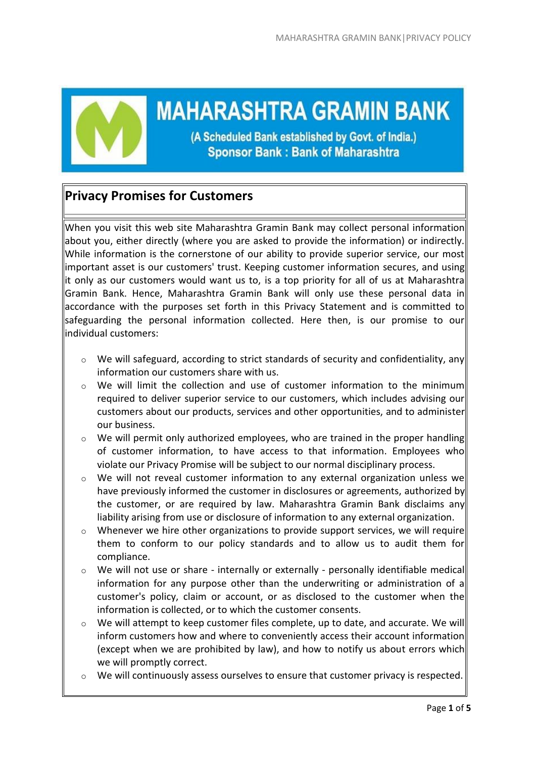

**MAHARASHTRA GRAMIN BANK** 

(A Scheduled Bank established by Govt. of India.) **Sponsor Bank: Bank of Maharashtra** 

# **Privacy Promises for Customers**

When you visit this web site Maharashtra Gramin Bank may collect personal information about you, either directly (where you are asked to provide the information) or indirectly. While information is the cornerstone of our ability to provide superior service, our most important asset is our customers' trust. Keeping customer information secures, and using it only as our customers would want us to, is a top priority for all of us at Maharashtra Gramin Bank. Hence, Maharashtra Gramin Bank will only use these personal data in accordance with the purposes set forth in this Privacy Statement and is committed to safeguarding the personal information collected. Here then, is our promise to our individual customers:

- $\circ$  We will safeguard, according to strict standards of security and confidentiality, any information our customers share with us.
- $\circ$  We will limit the collection and use of customer information to the minimum required to deliver superior service to our customers, which includes advising our customers about our products, services and other opportunities, and to administer our business.
- $\circ$  We will permit only authorized employees, who are trained in the proper handling of customer information, to have access to that information. Employees who violate our Privacy Promise will be subject to our normal disciplinary process.
- $\circ$  We will not reveal customer information to any external organization unless we have previously informed the customer in disclosures or agreements, authorized by the customer, or are required by law. Maharashtra Gramin Bank disclaims any liability arising from use or disclosure of information to any external organization.
- $\circ$  Whenever we hire other organizations to provide support services, we will require them to conform to our policy standards and to allow us to audit them for compliance.
- o We will not use or share internally or externally personally identifiable medical information for any purpose other than the underwriting or administration of a customer's policy, claim or account, or as disclosed to the customer when the information is collected, or to which the customer consents.
- o We will attempt to keep customer files complete, up to date, and accurate. We will inform customers how and where to conveniently access their account information (except when we are prohibited by law), and how to notify us about errors which we will promptly correct.
- o We will continuously assess ourselves to ensure that customer privacy is respected.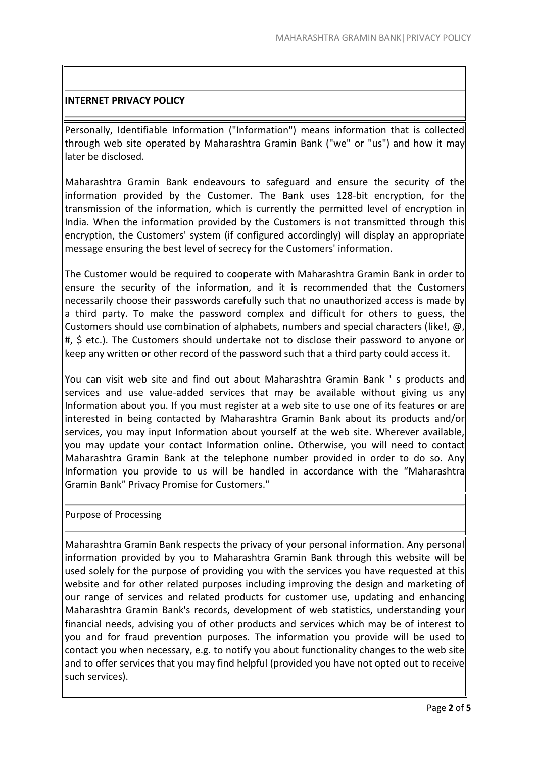# **INTERNET PRIVACY POLICY**

Personally, Identifiable Information ("Information") means information that is collected through web site operated by Maharashtra Gramin Bank ("we" or "us") and how it may later be disclosed.

Maharashtra Gramin Bank endeavours to safeguard and ensure the security of the information provided by the Customer. The Bank uses 128-bit encryption, for the transmission of the information, which is currently the permitted level of encryption in India. When the information provided by the Customers is not transmitted through this encryption, the Customers' system (if configured accordingly) will display an appropriate message ensuring the best level of secrecy for the Customers' information.

The Customer would be required to cooperate with Maharashtra Gramin Bank in order to ensure the security of the information, and it is recommended that the Customers necessarily choose their passwords carefully such that no unauthorized access is made by a third party. To make the password complex and difficult for others to guess, the Customers should use combination of alphabets, numbers and special characters (like!,  $\omega$ , #, \$ etc.). The Customers should undertake not to disclose their password to anyone or keep any written or other record of the password such that a third party could access it.

You can visit web site and find out about Maharashtra Gramin Bank ' s products and services and use value-added services that may be available without giving us any Information about you. If you must register at a web site to use one of its features or are interested in being contacted by Maharashtra Gramin Bank about its products and/or services, you may input Information about yourself at the web site. Wherever available, you may update your contact Information online. Otherwise, you will need to contact Maharashtra Gramin Bank at the telephone number provided in order to do so. Any Information you provide to us will be handled in accordance with the "Maharashtra Gramin Bank" Privacy Promise for Customers."

## Purpose of Processing

Maharashtra Gramin Bank respects the privacy of your personal information. Any personal information provided by you to Maharashtra Gramin Bank through this website will be used solely for the purpose of providing you with the services you have requested at this website and for other related purposes including improving the design and marketing of our range of services and related products for customer use, updating and enhancing Maharashtra Gramin Bank's records, development of web statistics, understanding your financial needs, advising you of other products and services which may be of interest to you and for fraud prevention purposes. The information you provide will be used to contact you when necessary, e.g. to notify you about functionality changes to the web site and to offer services that you may find helpful (provided you have not opted out to receive such services).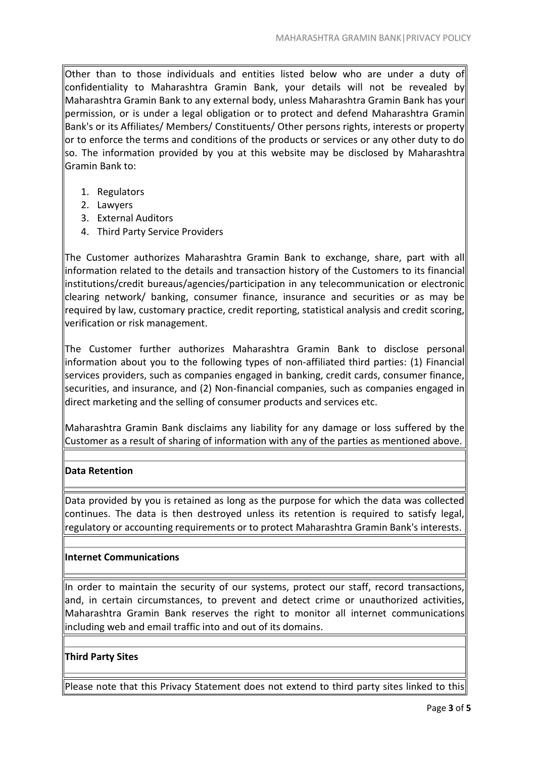Other than to those individuals and entities listed below who are under a duty of confidentiality to Maharashtra Gramin Bank, your details will not be revealed by Maharashtra Gramin Bank to any external body, unless Maharashtra Gramin Bank has your permission, or is under a legal obligation or to protect and defend Maharashtra Gramin Bank's or its Affiliates/ Members/ Constituents/ Other persons rights, interests or property or to enforce the terms and conditions of the products or services or any other duty to do so. The information provided by you at this website may be disclosed by Maharashtra Gramin Bank to:

- 1. Regulators
- 2. Lawyers
- 3. External Auditors
- 4. Third Party Service Providers

The Customer authorizes Maharashtra Gramin Bank to exchange, share, part with all information related to the details and transaction history of the Customers to its financial institutions/credit bureaus/agencies/participation in any telecommunication or electronic clearing network/ banking, consumer finance, insurance and securities or as may be required by law, customary practice, credit reporting, statistical analysis and credit scoring, verification or risk management.

The Customer further authorizes Maharashtra Gramin Bank to disclose personal information about you to the following types of non-affiliated third parties: (1) Financial services providers, such as companies engaged in banking, credit cards, consumer finance, securities, and insurance, and (2) Non-financial companies, such as companies engaged in direct marketing and the selling of consumer products and services etc.

Maharashtra Gramin Bank disclaims any liability for any damage or loss suffered by the Customer as a result of sharing of information with any of the parties as mentioned above.

# **Data Retention**

Data provided by you is retained as long as the purpose for which the data was collected continues. The data is then destroyed unless its retention is required to satisfy legal, regulatory or accounting requirements or to protect Maharashtra Gramin Bank's interests.

## **Internet Communications**

In order to maintain the security of our systems, protect our staff, record transactions, and, in certain circumstances, to prevent and detect crime or unauthorized activities, Maharashtra Gramin Bank reserves the right to monitor all internet communications including web and email traffic into and out of its domains.

## **Third Party Sites**

Please note that this Privacy Statement does not extend to third party sites linked to this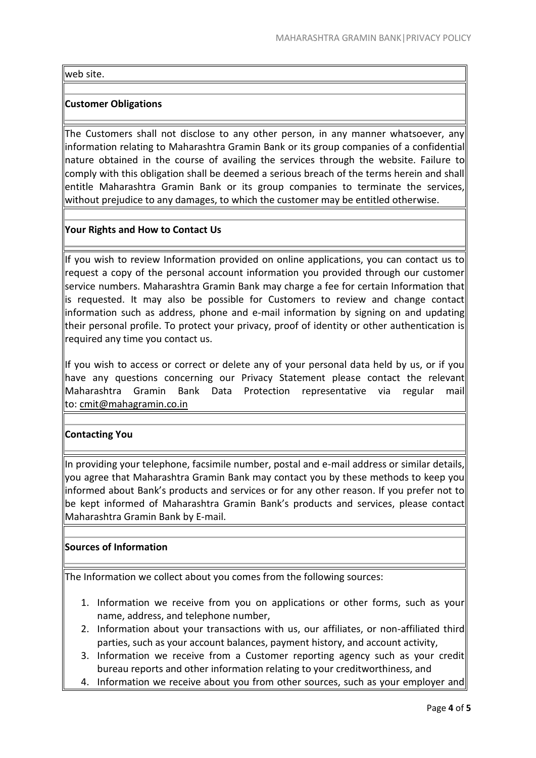#### web site.

## **Customer Obligations**

The Customers shall not disclose to any other person, in any manner whatsoever, any information relating to Maharashtra Gramin Bank or its group companies of a confidential nature obtained in the course of availing the services through the website. Failure to comply with this obligation shall be deemed a serious breach of the terms herein and shall entitle Maharashtra Gramin Bank or its group companies to terminate the services, without prejudice to any damages, to which the customer may be entitled otherwise.

## **Your Rights and How to Contact Us**

If you wish to review Information provided on online applications, you can contact us to request a copy of the personal account information you provided through our customer service numbers. Maharashtra Gramin Bank may charge a fee for certain Information that is requested. It may also be possible for Customers to review and change contact information such as address, phone and e-mail information by signing on and updating their personal profile. To protect your privacy, proof of identity or other authentication is required any time you contact us.

If you wish to access or correct or delete any of your personal data held by us, or if you have any questions concerning our Privacy Statement please contact the relevant Maharashtra Gramin Bank Data Protection representative via regular mail to: cmit@mahagramin.co.in

## **Contacting You**

In providing your telephone, facsimile number, postal and e-mail address or similar details, you agree that Maharashtra Gramin Bank may contact you by these methods to keep you informed about Bank's products and services or for any other reason. If you prefer not to be kept informed of Maharashtra Gramin Bank's products and services, please contact Maharashtra Gramin Bank by E-mail.

## **Sources of Information**

The Information we collect about you comes from the following sources:

- 1. Information we receive from you on applications or other forms, such as your name, address, and telephone number,
- 2. Information about your transactions with us, our affiliates, or non-affiliated third parties, such as your account balances, payment history, and account activity,
- 3. Information we receive from a Customer reporting agency such as your credit bureau reports and other information relating to your creditworthiness, and
- 4. Information we receive about you from other sources, such as your employer and